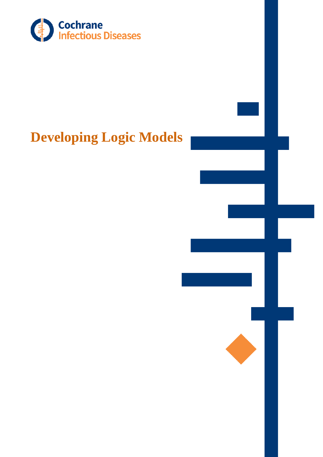

# **Developing Logic Models**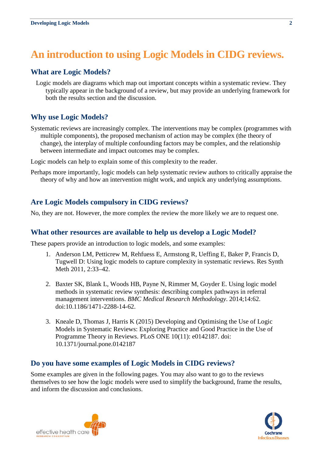# **An introduction to using Logic Models in CIDG reviews.**

## **What are Logic Models?**

Logic models are diagrams which map out important concepts within a systematic review. They typically appear in the background of a review, but may provide an underlying framework for both the results section and the discussion.

# **Why use Logic Models?**

Systematic reviews are increasingly complex. The interventions may be complex (programmes with multiple components), the proposed mechanism of action may be complex (the theory of change), the interplay of multiple confounding factors may be complex, and the relationship between intermediate and impact outcomes may be complex.

Logic models can help to explain some of this complexity to the reader.

Perhaps more importantly, logic models can help systematic review authors to critically appraise the theory of why and how an intervention might work, and unpick any underlying assumptions.

# **Are Logic Models compulsory in CIDG reviews?**

No, they are not. However, the more complex the review the more likely we are to request one.

#### **What other resources are available to help us develop a Logic Model?**

These papers provide an introduction to logic models, and some examples:

- 1. Anderson LM, Petticrew M, Rehfuess E, Armstong R, Ueffing E, Baker P, Francis D, Tugwell D: Using logic models to capture complexity in systematic reviews. Res Synth Meth 2011, 2:33–42.
- 2. Baxter SK, Blank L, Woods HB, Payne N, Rimmer M, Goyder E. Using logic model methods in systematic review synthesis: describing complex pathways in referral management interventions. *BMC Medical Research Methodology*. 2014;14:62. doi:10.1186/1471-2288-14-62.
- 3. Kneale D, Thomas J, Harris K (2015) Developing and Optimising the Use of Logic Models in Systematic Reviews: Exploring Practice and Good Practice in the Use of Programme Theory in Reviews. PLoS ONE 10(11): e0142187. doi: 10.1371/journal.pone.0142187

#### **Do you have some examples of Logic Models in CIDG reviews?**

Some examples are given in the following pages. You may also want to go to the reviews themselves to see how the logic models were used to simplify the background, frame the results, and inform the discussion and conclusions.

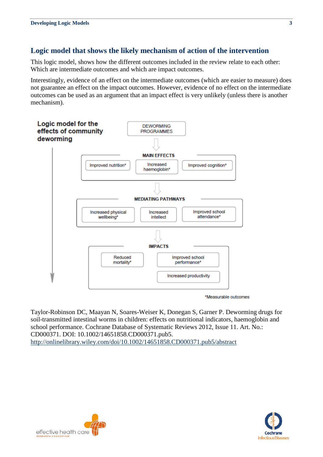# **Logic model that shows the likely mechanism of action of the intervention**

This logic model, shows how the different outcomes included in the review relate to each other: Which are intermediate outcomes and which are impact outcomes.

Interestingly, evidence of an effect on the intermediate outcomes (which are easier to measure) does not guarantee an effect on the impact outcomes. However, evidence of no effect on the intermediate outcomes can be used as an argument that an impact effect is very unlikely (unless there is another mechanism).



\*Measurable outcomes

Taylor-Robinson DC, Maayan N, Soares-Weiser K, Donegan S, Garner P. Deworming drugs for soil-transmitted intestinal worms in children: effects on nutritional indicators, haemoglobin and school performance. Cochrane Database of Systematic Reviews 2012, Issue 11. Art. No.: CD000371. DOI: 10.1002/14651858.CD000371.pub5. <http://onlinelibrary.wiley.com/doi/10.1002/14651858.CD000371.pub5/abstract>



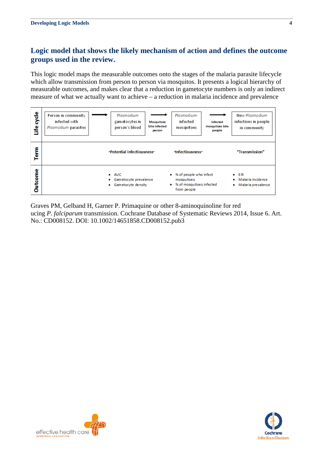# **Logic model that shows the likely mechanism of action and defines the outcome groups used in the review.**

This logic model maps the measurable outcomes onto the stages of the malaria parasite lifecycle which allow transmission from person to person via mosquitos. It presents a logical hierarchy of measurable outcomes, and makes clear that a reduction in gametocyte numbers is only an indirect measure of what we actually want to achieve – a reduction in malaria incidence and prevalence

| cycle<br>۴e | Person in community<br>infected with<br>Plasmodium parasites           | Plasmodium<br>gam et o cytes in<br>person's blood | Plasmodium-<br>infected<br><b>Mosquitoes</b><br>bite infected<br>mosquitoes<br>person | Infected<br>mosquitoes bite<br>people              | New Plasmodium<br>infections in people<br>in community |
|-------------|------------------------------------------------------------------------|---------------------------------------------------|---------------------------------------------------------------------------------------|----------------------------------------------------|--------------------------------------------------------|
| Term        | "Potential infectiousness"                                             |                                                   |                                                                                       | dnfectiousness"                                    |                                                        |
| Outcome     | $\bullet$ AUC<br>Gametocyte prevalence<br>۰<br>Gametocyte density<br>۰ |                                                   | mosquitoes<br>$\bullet$<br>from people                                                | % of people who infect<br>% of mosquitoes infected |                                                        |

Graves PM, Gelband H, Garner P. Primaquine or other 8-aminoquinoline for red ucing *P. falciparum* transmission. Cochrane Database of Systematic Reviews 2014, Issue 6. Art. No.: CD008152. DOI: 10.1002/14651858.CD008152.pub3



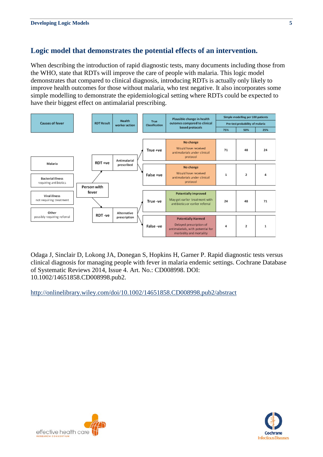# **Logic model that demonstrates the potential effects of an intervention.**

When describing the introduction of rapid diagnostic tests, many documents including those from the WHO, state that RDTs will improve the care of people with malaria. This logic model demonstrates that compared to clinical diagnosis, introducing RDTs is actually only likely to improve health outcomes for those without malaria, who test negative. It also incorporates some simple modelling to demonstrate the epidemiological setting where RDTs could be expected to have their biggest effect on antimalarial prescribing.



Odaga J, Sinclair D, Lokong JA, Donegan S, Hopkins H, Garner P. Rapid diagnostic tests versus clinical diagnosis for managing people with fever in malaria endemic settings. Cochrane Database of Systematic Reviews 2014, Issue 4. Art. No.: CD008998. DOI: 10.1002/14651858.CD008998.pub2.

<http://onlinelibrary.wiley.com/doi/10.1002/14651858.CD008998.pub2/abstract>